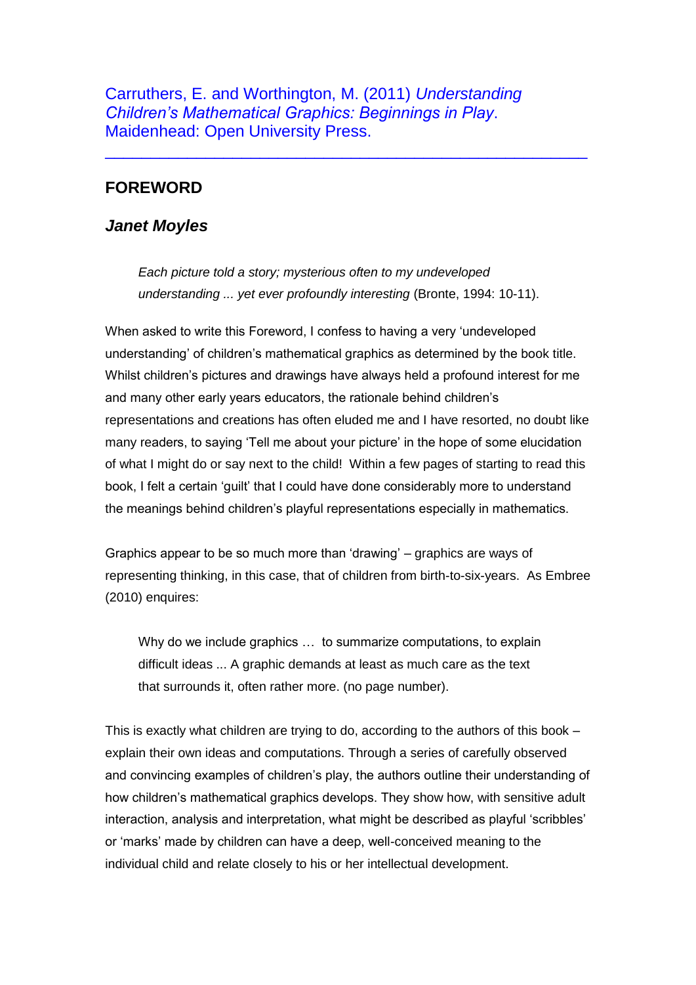Carruthers, E. and Worthington, M. (2011) *Understanding Children's Mathematical Graphics: Beginnings in Play*. Maidenhead: Open University Press.

## **FOREWORD**

## *Janet Moyles*

*Each picture told a story; mysterious often to my undeveloped understanding ... yet ever profoundly interesting* (Bronte, 1994: 10-11).

\_\_\_\_\_\_\_\_\_\_\_\_\_\_\_\_\_\_\_\_\_\_\_\_\_\_\_\_\_\_\_\_\_\_\_\_\_\_\_\_\_\_\_\_\_\_\_\_\_\_\_\_\_

When asked to write this Foreword, I confess to having a very 'undeveloped understanding' of children's mathematical graphics as determined by the book title. Whilst children's pictures and drawings have always held a profound interest for me and many other early years educators, the rationale behind children's representations and creations has often eluded me and I have resorted, no doubt like many readers, to saying 'Tell me about your picture' in the hope of some elucidation of what I might do or say next to the child! Within a few pages of starting to read this book, I felt a certain 'guilt' that I could have done considerably more to understand the meanings behind children's playful representations especially in mathematics.

Graphics appear to be so much more than 'drawing' – graphics are ways of representing thinking, in this case, that of children from birth-to-six-years. As Embree (2010) enquires:

Why do we include graphics … to summarize computations, to explain difficult ideas ... A graphic demands at least as much care as the text that surrounds it, often rather more. (no page number).

This is exactly what children are trying to do, according to the authors of this book – explain their own ideas and computations. Through a series of carefully observed and convincing examples of children's play, the authors outline their understanding of how children's mathematical graphics develops. They show how, with sensitive adult interaction, analysis and interpretation, what might be described as playful 'scribbles' or 'marks' made by children can have a deep, well-conceived meaning to the individual child and relate closely to his or her intellectual development.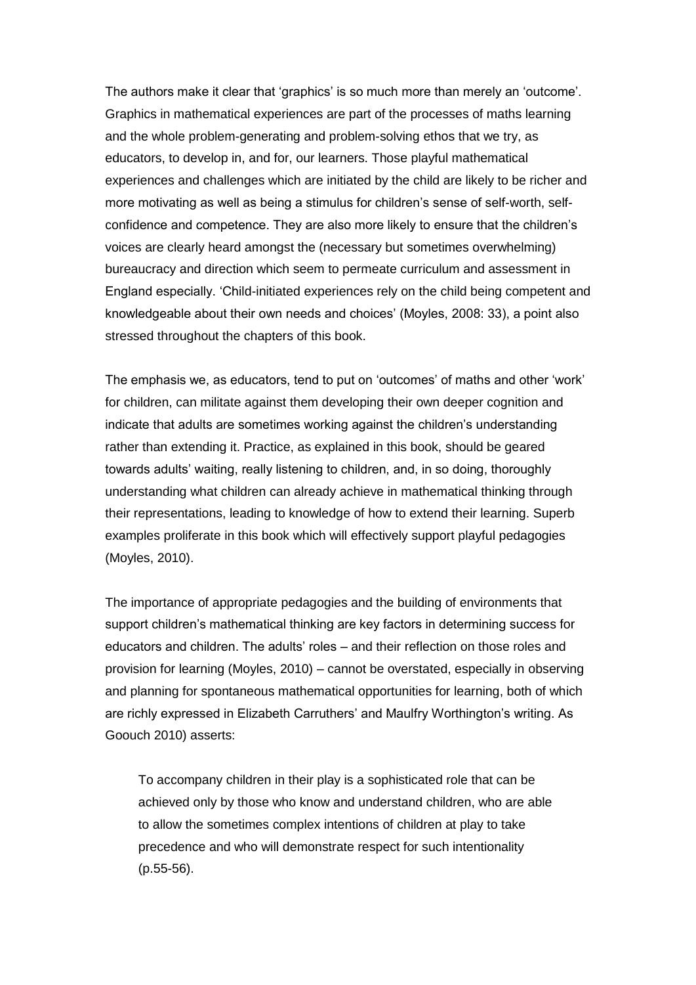The authors make it clear that 'graphics' is so much more than merely an 'outcome'. Graphics in mathematical experiences are part of the processes of maths learning and the whole problem-generating and problem-solving ethos that we try, as educators, to develop in, and for, our learners. Those playful mathematical experiences and challenges which are initiated by the child are likely to be richer and more motivating as well as being a stimulus for children's sense of self-worth, selfconfidence and competence. They are also more likely to ensure that the children's voices are clearly heard amongst the (necessary but sometimes overwhelming) bureaucracy and direction which seem to permeate curriculum and assessment in England especially. 'Child-initiated experiences rely on the child being competent and knowledgeable about their own needs and choices' (Moyles, 2008: 33), a point also stressed throughout the chapters of this book.

The emphasis we, as educators, tend to put on 'outcomes' of maths and other 'work' for children, can militate against them developing their own deeper cognition and indicate that adults are sometimes working against the children's understanding rather than extending it. Practice, as explained in this book, should be geared towards adults' waiting, really listening to children, and, in so doing, thoroughly understanding what children can already achieve in mathematical thinking through their representations, leading to knowledge of how to extend their learning. Superb examples proliferate in this book which will effectively support playful pedagogies (Moyles, 2010).

The importance of appropriate pedagogies and the building of environments that support children's mathematical thinking are key factors in determining success for educators and children. The adults' roles – and their reflection on those roles and provision for learning (Moyles, 2010) – cannot be overstated, especially in observing and planning for spontaneous mathematical opportunities for learning, both of which are richly expressed in Elizabeth Carruthers' and Maulfry Worthington's writing. As Goouch 2010) asserts:

To accompany children in their play is a sophisticated role that can be achieved only by those who know and understand children, who are able to allow the sometimes complex intentions of children at play to take precedence and who will demonstrate respect for such intentionality (p.55-56).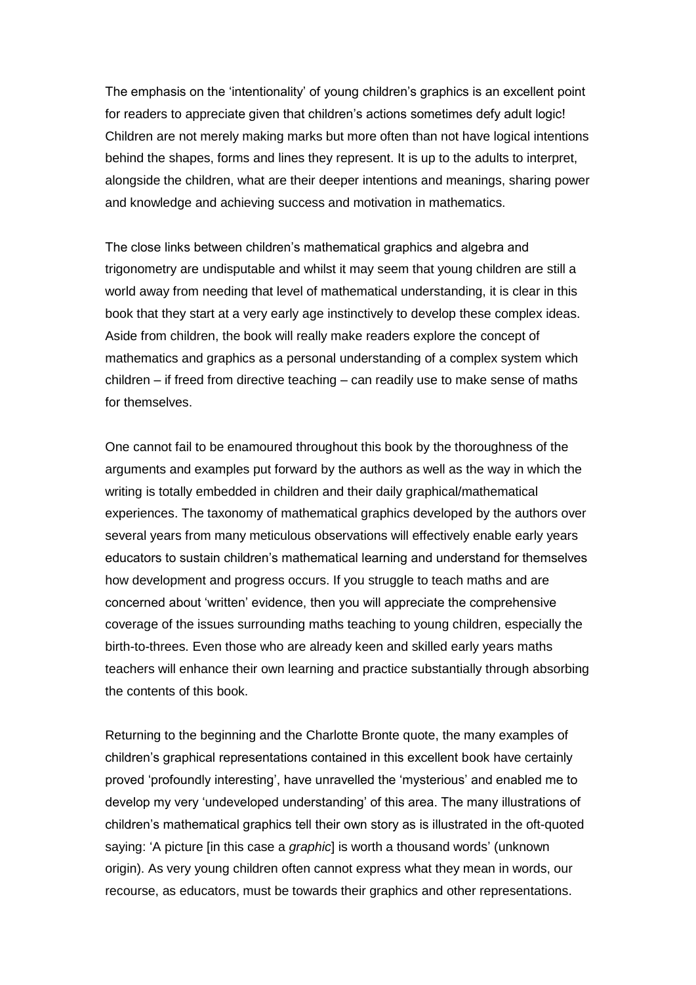The emphasis on the 'intentionality' of young children's graphics is an excellent point for readers to appreciate given that children's actions sometimes defy adult logic! Children are not merely making marks but more often than not have logical intentions behind the shapes, forms and lines they represent. It is up to the adults to interpret, alongside the children, what are their deeper intentions and meanings, sharing power and knowledge and achieving success and motivation in mathematics.

The close links between children's mathematical graphics and algebra and trigonometry are undisputable and whilst it may seem that young children are still a world away from needing that level of mathematical understanding, it is clear in this book that they start at a very early age instinctively to develop these complex ideas. Aside from children, the book will really make readers explore the concept of mathematics and graphics as a personal understanding of a complex system which children – if freed from directive teaching – can readily use to make sense of maths for themselves.

One cannot fail to be enamoured throughout this book by the thoroughness of the arguments and examples put forward by the authors as well as the way in which the writing is totally embedded in children and their daily graphical/mathematical experiences. The taxonomy of mathematical graphics developed by the authors over several years from many meticulous observations will effectively enable early years educators to sustain children's mathematical learning and understand for themselves how development and progress occurs. If you struggle to teach maths and are concerned about 'written' evidence, then you will appreciate the comprehensive coverage of the issues surrounding maths teaching to young children, especially the birth-to-threes. Even those who are already keen and skilled early years maths teachers will enhance their own learning and practice substantially through absorbing the contents of this book.

Returning to the beginning and the Charlotte Bronte quote, the many examples of children's graphical representations contained in this excellent book have certainly proved 'profoundly interesting', have unravelled the 'mysterious' and enabled me to develop my very 'undeveloped understanding' of this area. The many illustrations of children's mathematical graphics tell their own story as is illustrated in the oft-quoted saying: 'A picture [in this case a *graphic*] is worth a thousand words' (unknown origin). As very young children often cannot express what they mean in words, our recourse, as educators, must be towards their graphics and other representations.